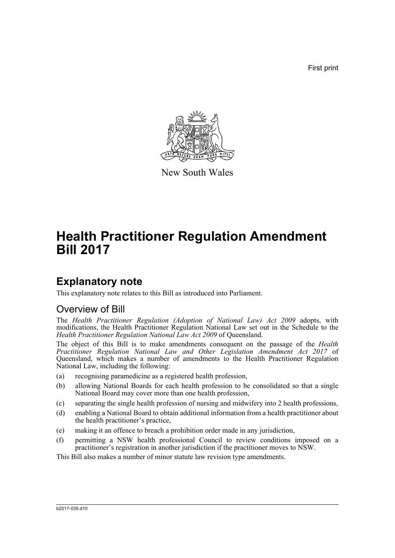First print



New South Wales

# **Health Practitioner Regulation Amendment Bill 2017**

# **Explanatory note**

This explanatory note relates to this Bill as introduced into Parliament.

## Overview of Bill

The *Health Practitioner Regulation (Adoption of National Law) Act 2009* adopts, with modifications, the Health Practitioner Regulation National Law set out in the Schedule to the *Health Practitioner Regulation National Law Act 2009* of Queensland.

The object of this Bill is to make amendments consequent on the passage of the *Health Practitioner Regulation National Law and Other Legislation Amendment Act 2017* of Queensland, which makes a number of amendments to the Health Practitioner Regulation National Law, including the following:

- (a) recognising paramedicine as a registered health profession,
- (b) allowing National Boards for each health profession to be consolidated so that a single National Board may cover more than one health profession,
- (c) separating the single health profession of nursing and midwifery into 2 health professions,
- (d) enabling a National Board to obtain additional information from a health practitioner about the health practitioner's practice,
- (e) making it an offence to breach a prohibition order made in any jurisdiction,
- (f) permitting a NSW health professional Council to review conditions imposed on a practitioner's registration in another jurisdiction if the practitioner moves to NSW.

This Bill also makes a number of minor statute law revision type amendments.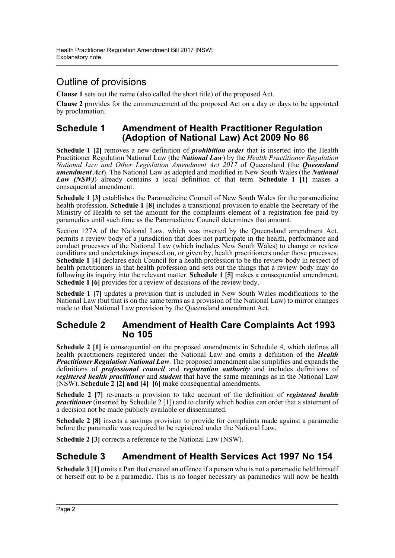## Outline of provisions

**Clause 1** sets out the name (also called the short title) of the proposed Act.

**Clause 2** provides for the commencement of the proposed Act on a day or days to be appointed by proclamation.

### **Schedule 1 Amendment of Health Practitioner Regulation (Adoption of National Law) Act 2009 No 86**

**Schedule 1 [2]** removes a new definition of *prohibition order* that is inserted into the Health Practitioner Regulation National Law (the *National Law*) by the *Health Practitioner Regulation National Law and Other Legislation Amendment Act 2017* of Queensland (the *Queensland amendment Act*). The National Law as adopted and modified in New South Wales (the *National Law (NSW)*) already contains a local definition of that term. **Schedule 1 [1]** makes a consequential amendment.

**Schedule 1 [3]** establishes the Paramedicine Council of New South Wales for the paramedicine health profession. **Schedule 1 [8]** includes a transitional provision to enable the Secretary of the Ministry of Health to set the amount for the complaints element of a registration fee paid by paramedics until such time as the Paramedicine Council determines that amount.

Section 127A of the National Law, which was inserted by the Queensland amendment Act, permits a review body of a jurisdiction that does not participate in the health, performance and conduct processes of the National Law (which includes New South Wales) to change or review conditions and undertakings imposed on, or given by, health practitioners under those processes. **Schedule 1 [4]** declares each Council for a health profession to be the review body in respect of health practitioners in that health profession and sets out the things that a review body may do following its inquiry into the relevant matter. **Schedule 1 [5]** makes a consequential amendment. **Schedule 1 [6]** provides for a review of decisions of the review body.

**Schedule 1 [7]** updates a provision that is included in New South Wales modifications to the National Law (but that is on the same terms as a provision of the National Law) to mirror changes made to that National Law provision by the Queensland amendment Act.

### **Schedule 2 Amendment of Health Care Complaints Act 1993 No 105**

**Schedule 2 [1]** is consequential on the proposed amendments in Schedule 4, which defines all health practitioners registered under the National Law and omits a definition of the *Health Practitioner Regulation National Law*. The proposed amendment also simplifies and expands the definitions of *professional council* and *registration authority* and includes definitions of *registered health practitioner* and *student* that have the same meanings as in the National Law (NSW). **Schedule 2 [2] and [4]–[6]** make consequential amendments.

**Schedule 2 [7]** re-enacts a provision to take account of the definition of *registered health practitioner* (inserted by Schedule 2 [1]) and to clarify which bodies can order that a statement of a decision not be made publicly available or disseminated.

**Schedule 2 [8]** inserts a savings provision to provide for complaints made against a paramedic before the paramedic was required to be registered under the National Law.

**Schedule 2 [3]** corrects a reference to the National Law (NSW).

## **Schedule 3 Amendment of Health Services Act 1997 No 154**

**Schedule 3 [1]** omits a Part that created an offence if a person who is not a paramedic held himself or herself out to be a paramedic. This is no longer necessary as paramedics will now be health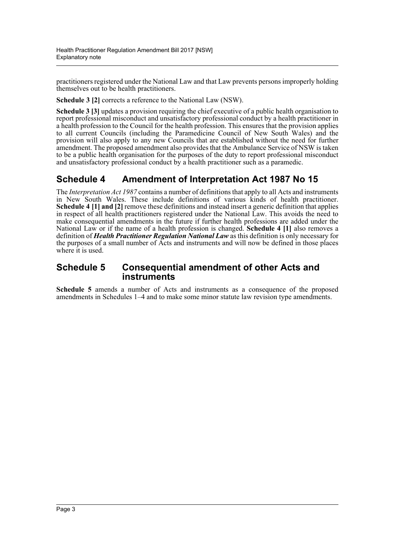practitioners registered under the National Law and that Law prevents persons improperly holding themselves out to be health practitioners.

**Schedule 3 [2]** corrects a reference to the National Law (NSW).

**Schedule 3 [3]** updates a provision requiring the chief executive of a public health organisation to report professional misconduct and unsatisfactory professional conduct by a health practitioner in a health profession to the Council for the health profession. This ensures that the provision applies to all current Councils (including the Paramedicine Council of New South Wales) and the provision will also apply to any new Councils that are established without the need for further amendment. The proposed amendment also provides that the Ambulance Service of NSW is taken to be a public health organisation for the purposes of the duty to report professional misconduct and unsatisfactory professional conduct by a health practitioner such as a paramedic.

## **Schedule 4 Amendment of Interpretation Act 1987 No 15**

The *Interpretation Act 1987* contains a number of definitions that apply to all Acts and instruments in New South Wales. These include definitions of various kinds of health practitioner. **Schedule 4 [1] and [2]** remove these definitions and instead insert a generic definition that applies in respect of all health practitioners registered under the National Law. This avoids the need to make consequential amendments in the future if further health professions are added under the National Law or if the name of a health profession is changed. **Schedule 4 [1]** also removes a definition of *Health Practitioner Regulation National Law* as this definition is only necessary for the purposes of a small number of Acts and instruments and will now be defined in those places where it is used.

### **Schedule 5 Consequential amendment of other Acts and instruments**

**Schedule 5** amends a number of Acts and instruments as a consequence of the proposed amendments in Schedules 1–4 and to make some minor statute law revision type amendments.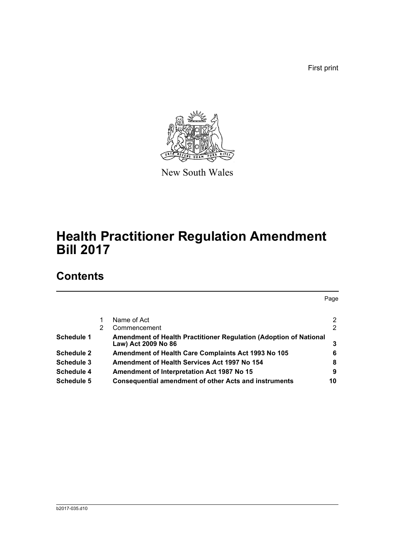First print



New South Wales

# **Health Practitioner Regulation Amendment Bill 2017**

# **Contents**

Page [1 Name of Act 2](#page-5-0) [2 Commencement 2](#page-5-1) 2 **Schedule 1** Amendment of Health Practitioner Regulation (Adoption of National [Law\) Act 2009 No 86 3](#page-6-0) **[Schedule 2 Amendment of Health Care Complaints Act 1993 No 105 6](#page-9-0) [Schedule 3 Amendment of Health Services Act 1997 No 154 8](#page-11-0) Schedule 4** Amendment of Interpretation Act 1987 No 15 9 **[Schedule 5 Consequential amendment of other Acts and instruments](#page-13-0) 10**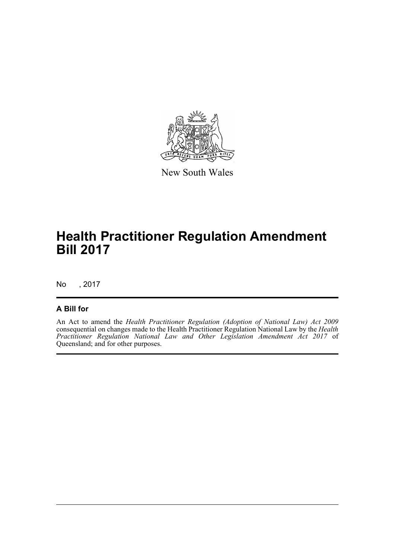

New South Wales

# **Health Practitioner Regulation Amendment Bill 2017**

No , 2017

### **A Bill for**

An Act to amend the *Health Practitioner Regulation (Adoption of National Law) Act 2009* consequential on changes made to the Health Practitioner Regulation National Law by the *Health Practitioner Regulation National Law and Other Legislation Amendment Act 2017* of Queensland; and for other purposes.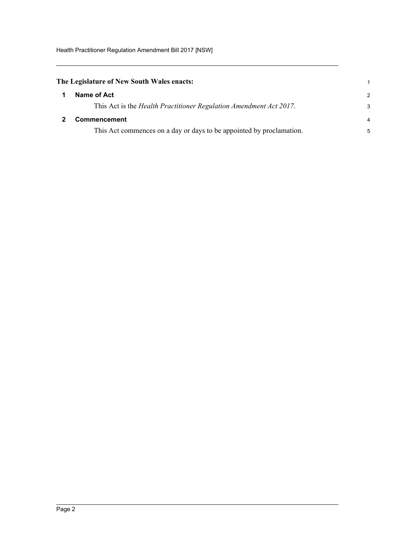<span id="page-5-0"></span>

| The Legislature of New South Wales enacts: |  |
|--------------------------------------------|--|
| 1 Name of Act                              |  |

| This Act is the Health Practitioner Regulation Amendment Act 2017. |  |
|--------------------------------------------------------------------|--|
|                                                                    |  |

#### <span id="page-5-1"></span>**2 Commencement** 4

This Act commences on a day or days to be appointed by proclamation. 5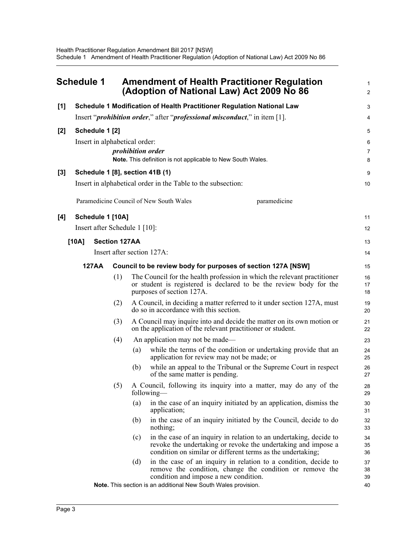<span id="page-6-0"></span>

|       | <b>Schedule 1</b> |                |                               |     | <b>Amendment of Health Practitioner Regulation</b><br>(Adoption of National Law) Act 2009 No 86                                                                                                    | 1<br>$\overline{2}$ |
|-------|-------------------|----------------|-------------------------------|-----|----------------------------------------------------------------------------------------------------------------------------------------------------------------------------------------------------|---------------------|
| [1]   |                   |                |                               |     | Schedule 1 Modification of Health Practitioner Regulation National Law                                                                                                                             | 3                   |
|       |                   |                |                               |     | Insert " <i>prohibition order</i> ," after " <i>professional misconduct</i> ," in item [1].                                                                                                        | 4                   |
| $[2]$ |                   | Schedule 1 [2] |                               |     |                                                                                                                                                                                                    | 5                   |
|       |                   |                | Insert in alphabetical order: |     |                                                                                                                                                                                                    | 6                   |
|       |                   |                |                               |     | <i>prohibition</i> order                                                                                                                                                                           | $\overline{7}$      |
|       |                   |                |                               |     | Note. This definition is not applicable to New South Wales.                                                                                                                                        | 8                   |
| [3]   |                   |                |                               |     | Schedule 1 [8], section 41B (1)                                                                                                                                                                    | 9                   |
|       |                   |                |                               |     | Insert in alphabetical order in the Table to the subsection:                                                                                                                                       | 10                  |
|       |                   |                |                               |     | Paramedicine Council of New South Wales<br>paramedicine                                                                                                                                            |                     |
| [4]   |                   |                | Schedule 1 [10A]              |     |                                                                                                                                                                                                    | 11                  |
|       |                   |                | Insert after Schedule 1 [10]: |     |                                                                                                                                                                                                    | 12                  |
|       | [10A]             |                | <b>Section 127AA</b>          |     |                                                                                                                                                                                                    | 13                  |
|       |                   |                |                               |     | Insert after section 127A:                                                                                                                                                                         | 14                  |
|       |                   | <b>127AA</b>   |                               |     | Council to be review body for purposes of section 127A [NSW]                                                                                                                                       | 15                  |
|       |                   |                | (1)                           |     | The Council for the health profession in which the relevant practitioner<br>or student is registered is declared to be the review body for the<br>purposes of section 127A.                        | 16<br>17<br>18      |
|       |                   |                | (2)                           |     | A Council, in deciding a matter referred to it under section 127A, must<br>do so in accordance with this section.                                                                                  | 19<br>20            |
|       |                   |                | (3)                           |     | A Council may inquire into and decide the matter on its own motion or<br>on the application of the relevant practitioner or student.                                                               | 21<br>22            |
|       |                   |                | (4)                           |     | An application may not be made—                                                                                                                                                                    | 23                  |
|       |                   |                |                               | (a) | while the terms of the condition or undertaking provide that an<br>application for review may not be made; or                                                                                      | 24<br>25            |
|       |                   |                |                               | (b) | while an appeal to the Tribunal or the Supreme Court in respect<br>of the same matter is pending.                                                                                                  | 26<br>27            |
|       |                   |                | (5)                           |     | A Council, following its inquiry into a matter, may do any of the<br>following-                                                                                                                    | 28<br>29            |
|       |                   |                |                               | (a) | in the case of an inquiry initiated by an application, dismiss the<br>application;                                                                                                                 | 30<br>31            |
|       |                   |                |                               | (b) | in the case of an inquiry initiated by the Council, decide to do<br>nothing;                                                                                                                       | 32<br>33            |
|       |                   |                |                               | (c) | in the case of an inquiry in relation to an undertaking, decide to<br>revoke the undertaking or revoke the undertaking and impose a<br>condition on similar or different terms as the undertaking; | 34<br>35<br>36      |
|       |                   |                |                               | (d) | in the case of an inquiry in relation to a condition, decide to<br>remove the condition, change the condition or remove the<br>condition and impose a new condition.                               | 37<br>38<br>39      |
|       |                   |                |                               |     | Note. This section is an additional New South Wales provision.                                                                                                                                     | 40                  |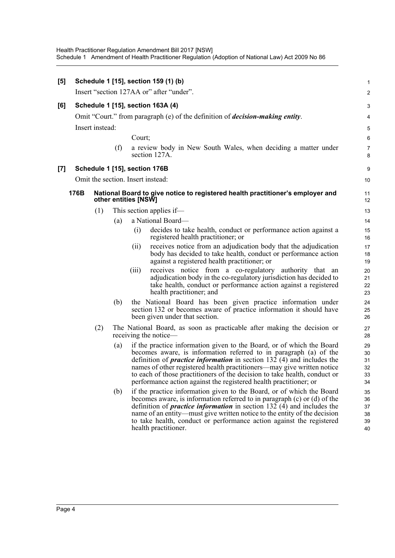| [5]   |      |                 |     | Schedule 1 [15], section 159 (1) (b)                                                                                                                                                                                                                                                                                                                                                                                                                    | $\mathbf{1}$                     |
|-------|------|-----------------|-----|---------------------------------------------------------------------------------------------------------------------------------------------------------------------------------------------------------------------------------------------------------------------------------------------------------------------------------------------------------------------------------------------------------------------------------------------------------|----------------------------------|
|       |      |                 |     | Insert "section 127AA or" after "under".                                                                                                                                                                                                                                                                                                                                                                                                                | $\overline{2}$                   |
| [6]   |      |                 |     | Schedule 1 [15], section 163A (4)                                                                                                                                                                                                                                                                                                                                                                                                                       | $\sqrt{3}$                       |
|       |      |                 |     | Omit "Court." from paragraph (e) of the definition of <i>decision-making entity</i> .                                                                                                                                                                                                                                                                                                                                                                   | 4                                |
|       |      | Insert instead: |     |                                                                                                                                                                                                                                                                                                                                                                                                                                                         | 5                                |
|       |      |                 |     | Court;                                                                                                                                                                                                                                                                                                                                                                                                                                                  | $\,6\,$                          |
|       |      |                 | (f) | a review body in New South Wales, when deciding a matter under<br>section 127A.                                                                                                                                                                                                                                                                                                                                                                         | $\overline{7}$<br>8              |
| $[7]$ |      |                 |     | Schedule 1 [15], section 176B                                                                                                                                                                                                                                                                                                                                                                                                                           | 9                                |
|       |      |                 |     | Omit the section. Insert instead:                                                                                                                                                                                                                                                                                                                                                                                                                       | 10                               |
|       | 176B |                 |     | National Board to give notice to registered health practitioner's employer and<br>other entities [NSW]                                                                                                                                                                                                                                                                                                                                                  | 11<br>12                         |
|       |      | (1)             |     | This section applies if—                                                                                                                                                                                                                                                                                                                                                                                                                                | 13                               |
|       |      |                 | (a) | a National Board-                                                                                                                                                                                                                                                                                                                                                                                                                                       | 14                               |
|       |      |                 |     | decides to take health, conduct or performance action against a<br>(i)<br>registered health practitioner; or                                                                                                                                                                                                                                                                                                                                            | 15<br>16                         |
|       |      |                 |     | receives notice from an adjudication body that the adjudication<br>(i)<br>body has decided to take health, conduct or performance action<br>against a registered health practitioner; or                                                                                                                                                                                                                                                                | 17<br>18<br>19                   |
|       |      |                 |     | receives notice from a co-regulatory authority that an<br>(iii)<br>adjudication body in the co-regulatory jurisdiction has decided to<br>take health, conduct or performance action against a registered<br>health practitioner; and                                                                                                                                                                                                                    | 20<br>21<br>22<br>23             |
|       |      |                 | (b) | the National Board has been given practice information under<br>section 132 or becomes aware of practice information it should have<br>been given under that section.                                                                                                                                                                                                                                                                                   | 24<br>25<br>26                   |
|       |      | (2)             |     | The National Board, as soon as practicable after making the decision or<br>receiving the notice-                                                                                                                                                                                                                                                                                                                                                        | 27<br>28                         |
|       |      |                 | (a) | if the practice information given to the Board, or of which the Board<br>becomes aware, is information referred to in paragraph (a) of the<br>definition of <i>practice information</i> in section 132 (4) and includes the<br>names of other registered health practitioners—may give written notice<br>to each of those practitioners of the decision to take health, conduct or<br>performance action against the registered health practitioner; or | 29<br>30<br>31<br>32<br>33<br>34 |
|       |      |                 | (b) | if the practice information given to the Board, or of which the Board<br>becomes aware, is information referred to in paragraph $(c)$ or $(d)$ of the<br>definition of <i>practice information</i> in section $132$ (4) and includes the<br>name of an entity—must give written notice to the entity of the decision<br>to take health, conduct or performance action against the registered<br>health practitioner.                                    | 35<br>36<br>37<br>38<br>39<br>40 |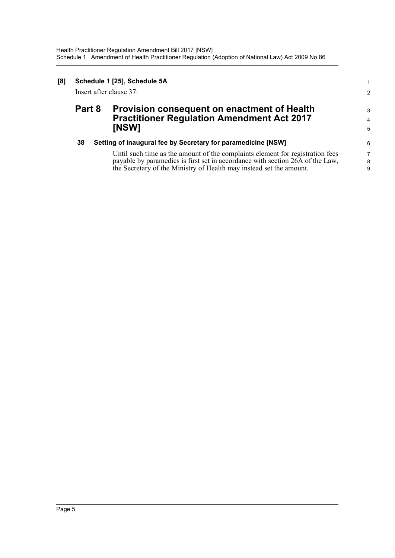| [8] | Schedule 1 [25], Schedule 5A<br>Insert after clause 37: |                                                                                                                  |                          |  |  |
|-----|---------------------------------------------------------|------------------------------------------------------------------------------------------------------------------|--------------------------|--|--|
|     | Part 8                                                  | <b>Provision consequent on enactment of Health</b><br><b>Practitioner Regulation Amendment Act 2017</b><br>[NSW] | 3<br>$\overline{4}$<br>5 |  |  |
|     | 38                                                      | Setting of inaugural fee by Secretary for paramedicine [NSW]                                                     | 6                        |  |  |
|     |                                                         | Until such time as the amount of the complaints element for registration fees                                    | $\overline{7}$           |  |  |
|     |                                                         | payable by paramedics is first set in accordance with section 26A of the Law,                                    | 8                        |  |  |
|     |                                                         | the Secretary of the Ministry of Health may instead set the amount.                                              | 9                        |  |  |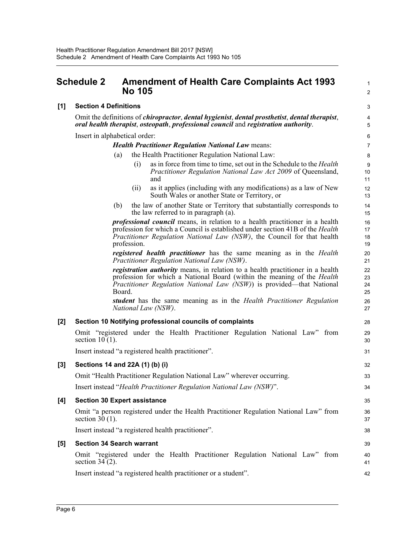### <span id="page-9-0"></span>**Schedule 2 •• Amendment of Health Care Complaints Act 1993 No 105** <sup>2</sup>

#### **[1] Section 4 Definitions** 3

Omit the definitions of *chiropractor*, *dental hygienist*, *dental prosthetist*, *dental therapist*, 4 *oral health therapist*, *osteopath*, *professional council* and *registration authority*. 5

Insert in alphabetical order: 6

#### *Health Practitioner Regulation National Law* means: 7

- the Health Practitioner Regulation National Law: 8
	- (i) as in force from time to time, set out in the Schedule to the *Health* 9 *Practitioner Regulation National Law Act 2009* of Queensland, and 11

 $1<sub>0</sub>$ 

18

17 16

20

24

23 22

26

- (ii) as it applies (including with any modifications) as a law of New 12 South Wales or another State or Territory, or 13
- (b) 14 the law of another State or Territory that substantially corresponds to the law referred to in paragraph (a). 15

*professional council* means, in relation to a health practitioner in a health profession for which a Council is established under section 41B of the *Health Practitioner Regulation National Law (NSW)*, the Council for that health profession. 19

*registered health practitioner* has the same meaning as in the *Health Practitioner Regulation National Law (NSW)*. 21

*registration authority* means, in relation to a health practitioner in a health profession for which a National Board (within the meaning of the *Health Practitioner Regulation National Law (NSW)*) is provided—that National Board. 25

*student* has the same meaning as in the *Health Practitioner Regulation National Law (NSW)*. 27

#### **[2] Section 10 Notifying professional councils of complaints** 28

Omit "registered under the Health Practitioner Regulation National Law" from 29 section  $10(1)$ . 30

Insert instead "a registered health practitioner". 31

#### **[3] Sections 14 and 22A (1) (b) (i)** 32

Omit "Health Practitioner Regulation National Law" wherever occurring. 33

Insert instead "*Health Practitioner Regulation National Law (NSW)*". 34

#### **[4] Section 30 Expert assistance** 35

Omit "a person registered under the Health Practitioner Regulation National Law" from 36 section  $30(1)$ . 37

Insert instead "a registered health practitioner". 38

#### **[5] Section 34 Search warrant** 39

Omit "registered under the Health Practitioner Regulation National Law" from 40 section  $34(2)$ . 41

Insert instead "a registered health practitioner or a student". 42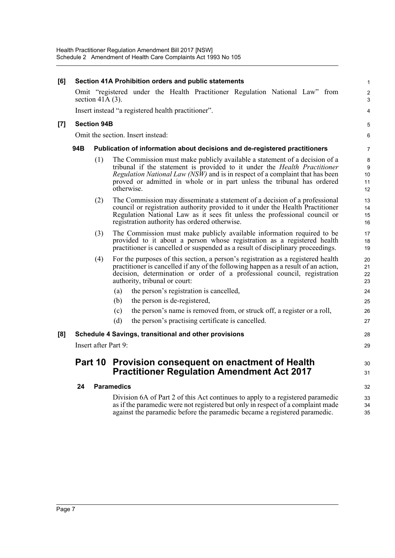| [6]   |     |                             | Section 41A Prohibition orders and public statements                                                                                                                                                                                                                                                                                          | $\mathbf{1}$             |
|-------|-----|-----------------------------|-----------------------------------------------------------------------------------------------------------------------------------------------------------------------------------------------------------------------------------------------------------------------------------------------------------------------------------------------|--------------------------|
|       |     | section $41A(3)$ .          | Omit "registered under the Health Practitioner Regulation National Law" from                                                                                                                                                                                                                                                                  | $\overline{c}$<br>3      |
|       |     |                             | Insert instead "a registered health practitioner".                                                                                                                                                                                                                                                                                            | 4                        |
| $[7]$ |     | <b>Section 94B</b>          |                                                                                                                                                                                                                                                                                                                                               | $\sqrt{5}$               |
|       |     |                             | Omit the section. Insert instead:                                                                                                                                                                                                                                                                                                             | 6                        |
|       | 94B |                             | Publication of information about decisions and de-registered practitioners                                                                                                                                                                                                                                                                    | $\overline{7}$           |
|       |     | (1)                         | The Commission must make publicly available a statement of a decision of a<br>tribunal if the statement is provided to it under the <i>Health Practitioner</i><br><i>Regulation National Law (NSW)</i> and is in respect of a complaint that has been<br>proved or admitted in whole or in part unless the tribunal has ordered<br>otherwise. | 8<br>9<br>10<br>11<br>12 |
|       |     | (2)                         | The Commission may disseminate a statement of a decision of a professional<br>council or registration authority provided to it under the Health Practitioner<br>Regulation National Law as it sees fit unless the professional council or<br>registration authority has ordered otherwise.                                                    | 13<br>14<br>15<br>16     |
|       |     | (3)                         | The Commission must make publicly available information required to be<br>provided to it about a person whose registration as a registered health<br>practitioner is cancelled or suspended as a result of disciplinary proceedings.                                                                                                          | 17<br>18<br>19           |
|       |     | (4)                         | For the purposes of this section, a person's registration as a registered health<br>practitioner is cancelled if any of the following happen as a result of an action,<br>decision, determination or order of a professional council, registration<br>authority, tribunal or court:                                                           | 20<br>21<br>22<br>23     |
|       |     |                             | (a)<br>the person's registration is cancelled,                                                                                                                                                                                                                                                                                                | 24                       |
|       |     |                             | the person is de-registered,<br>(b)                                                                                                                                                                                                                                                                                                           | 25                       |
|       |     |                             | the person's name is removed from, or struck off, a register or a roll,<br>(c)                                                                                                                                                                                                                                                                | 26                       |
|       |     |                             | (d)<br>the person's practising certificate is cancelled.                                                                                                                                                                                                                                                                                      | 27                       |
| [8]   |     |                             | Schedule 4 Savings, transitional and other provisions                                                                                                                                                                                                                                                                                         | 28                       |
|       |     | <b>Insert after Part 9:</b> |                                                                                                                                                                                                                                                                                                                                               | 29                       |
|       |     |                             | Part 10 Provision consequent on enactment of Health<br><b>Practitioner Regulation Amendment Act 2017</b>                                                                                                                                                                                                                                      | 30<br>31                 |
|       | 24  |                             | <b>Paramedics</b>                                                                                                                                                                                                                                                                                                                             | 32                       |
|       |     |                             | Division 6A of Part 2 of this Act continues to apply to a registered paramedic<br>as if the paramedic were not registered but only in respect of a complaint made<br>against the paramedic before the paramedic became a registered paramedic.                                                                                                | 33<br>34<br>35           |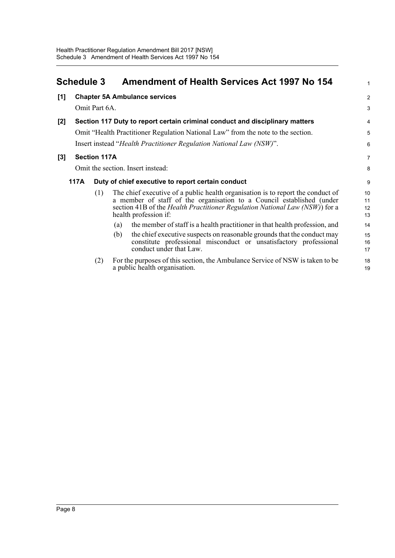<span id="page-11-0"></span>

|       | <b>Schedule 3</b> |                     | <b>Amendment of Health Services Act 1997 No 154</b>                                                                                                                                                                                                                              | $\mathbf{1}$         |
|-------|-------------------|---------------------|----------------------------------------------------------------------------------------------------------------------------------------------------------------------------------------------------------------------------------------------------------------------------------|----------------------|
| [1]   |                   |                     | <b>Chapter 5A Ambulance services</b>                                                                                                                                                                                                                                             | $\overline{2}$       |
|       |                   | Omit Part 6A.       |                                                                                                                                                                                                                                                                                  | 3                    |
| $[2]$ |                   |                     | Section 117 Duty to report certain criminal conduct and disciplinary matters                                                                                                                                                                                                     | $\overline{4}$       |
|       |                   |                     | Omit "Health Practitioner Regulation National Law" from the note to the section.                                                                                                                                                                                                 | 5                    |
|       |                   |                     | Insert instead "Health Practitioner Regulation National Law (NSW)".                                                                                                                                                                                                              | $6\phantom{1}$       |
| $[3]$ |                   | <b>Section 117A</b> |                                                                                                                                                                                                                                                                                  | $\overline{7}$       |
|       |                   |                     | Omit the section. Insert instead:                                                                                                                                                                                                                                                | 8                    |
|       | 117A              |                     | Duty of chief executive to report certain conduct                                                                                                                                                                                                                                | 9                    |
|       |                   | (1)                 | The chief executive of a public health organisation is to report the conduct of<br>a member of staff of the organisation to a Council established (under<br>section 41B of the <i>Health Practitioner Regulation National Law</i> ( <i>NSW</i> )) for a<br>health profession if: | 10<br>11<br>12<br>13 |
|       |                   |                     | the member of staff is a health practitioner in that health profession, and<br>(a)                                                                                                                                                                                               | 14                   |
|       |                   |                     | the chief executive suspects on reasonable grounds that the conduct may<br>(b)<br>constitute professional misconduct or unsatisfactory professional<br>conduct under that Law.                                                                                                   | 15<br>16<br>17       |
|       |                   | (2)                 | For the purposes of this section, the Ambulance Service of NSW is taken to be<br>a public health organisation.                                                                                                                                                                   | 18<br>19             |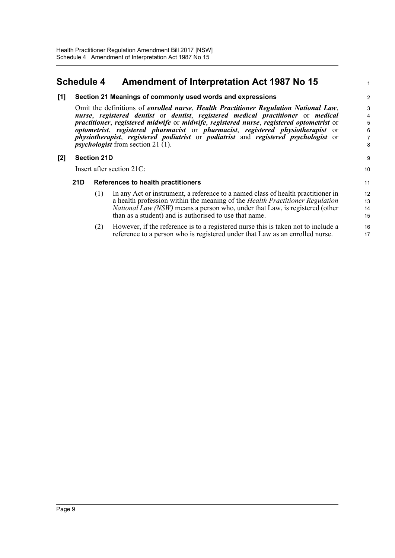## <span id="page-12-0"></span>**Schedule 4 Amendment of Interpretation Act 1987 No 15**

#### **[1] Section 21 Meanings of commonly used words and expressions** 2

Omit the definitions of *enrolled nurse*, *Health Practitioner Regulation National Law*, 3 *nurse*, *registered dentist* or *dentist*, *registered medical practitioner* or *medical practitioner*, *registered midwife* or *midwife*, *registered nurse*, *registered optometrist* or *optometrist*, *registered pharmacist* or *pharmacist*, *registered physiotherapist* or *physiotherapist*, *registered podiatrist* or *podiatrist* and *registered psychologist* or  $$ 

#### **[2] Section 21D** 9

Insert after section 21C: 10

#### **21D References to health practitioners** 11

(1) In any Act or instrument, a reference to a named class of health practitioner in 12 a health profession within the meaning of the *Health Practitioner Regulation National Law (NSW)* means a person who, under that Law, is registered (other than as a student) and is authorised to use that name. 15

14 13

(2) However, if the reference is to a registered nurse this is taken not to include a 16 reference to a person who is registered under that Law as an enrolled nurse. 17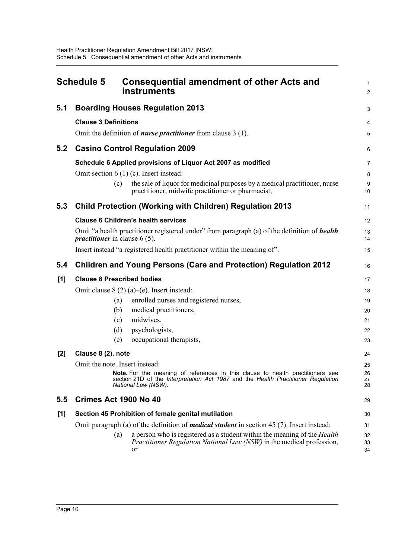<span id="page-13-0"></span>

|       | <b>Schedule 5</b>                      | <b>Consequential amendment of other Acts and</b><br>instruments                                                                                                                                   | 1<br>$\overline{2}$ |
|-------|----------------------------------------|---------------------------------------------------------------------------------------------------------------------------------------------------------------------------------------------------|---------------------|
| 5.1   |                                        | <b>Boarding Houses Regulation 2013</b>                                                                                                                                                            | 3                   |
|       | <b>Clause 3 Definitions</b>            |                                                                                                                                                                                                   | 4                   |
|       |                                        | Omit the definition of <i>nurse practitioner</i> from clause $3(1)$ .                                                                                                                             | 5                   |
| 5.2   |                                        | <b>Casino Control Regulation 2009</b>                                                                                                                                                             | 6                   |
|       |                                        | Schedule 6 Applied provisions of Liquor Act 2007 as modified                                                                                                                                      | $\overline{7}$      |
|       |                                        | Omit section $6(1)(c)$ . Insert instead:                                                                                                                                                          | 8                   |
|       | (c)                                    | the sale of liquor for medicinal purposes by a medical practitioner, nurse<br>practitioner, midwife practitioner or pharmacist,                                                                   | 9<br>10             |
| 5.3   |                                        | <b>Child Protection (Working with Children) Regulation 2013</b>                                                                                                                                   | 11                  |
|       |                                        | <b>Clause 6 Children's health services</b>                                                                                                                                                        | 12                  |
|       | <i>practitioner</i> in clause $6(5)$ . | Omit "a health practitioner registered under" from paragraph (a) of the definition of health                                                                                                      | 13<br>14            |
|       |                                        | Insert instead "a registered health practitioner within the meaning of".                                                                                                                          | 15                  |
| 5.4   |                                        | <b>Children and Young Persons (Care and Protection) Regulation 2012</b>                                                                                                                           | 16                  |
| [1]   | <b>Clause 8 Prescribed bodies</b>      |                                                                                                                                                                                                   | 17                  |
|       |                                        | Omit clause $8(2)(a)$ –(e). Insert instead:                                                                                                                                                       | 18                  |
|       | (a)                                    | enrolled nurses and registered nurses,                                                                                                                                                            | 19                  |
|       | (b)                                    | medical practitioners,                                                                                                                                                                            | 20                  |
|       | (c)                                    | midwives,                                                                                                                                                                                         | 21                  |
|       | (d)                                    | psychologists,                                                                                                                                                                                    | 22                  |
|       | (e)                                    | occupational therapists,                                                                                                                                                                          | 23                  |
| $[2]$ | Clause 8 (2), note                     |                                                                                                                                                                                                   | 24                  |
|       | Omit the note. Insert instead:         |                                                                                                                                                                                                   | 25                  |
|       |                                        | <b>Note.</b> For the meaning of references in this clause to health practitioners see<br>section 21D of the Interpretation Act 1987 and the Health Practitioner Regulation<br>National Law (NSW). | 26<br>27<br>28      |
| 5.5   | Crimes Act 1900 No 40                  |                                                                                                                                                                                                   | 29                  |
| [1]   |                                        | Section 45 Prohibition of female genital mutilation                                                                                                                                               | 30                  |
|       |                                        | Omit paragraph (a) of the definition of <i>medical student</i> in section 45 $(7)$ . Insert instead:                                                                                              | 31                  |
|       | (a)                                    | a person who is registered as a student within the meaning of the <i>Health</i><br><i>Practitioner Regulation National Law (NSW)</i> in the medical profession,<br>or                             | 32<br>33<br>34      |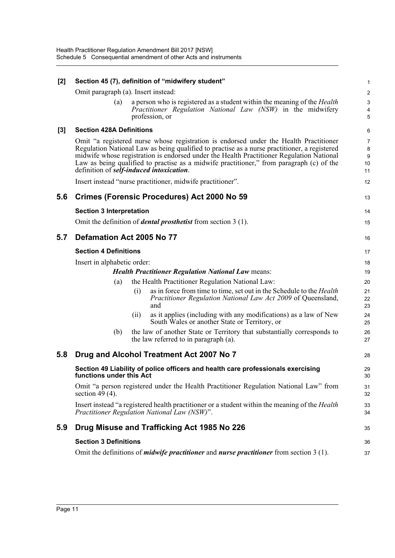| $[2]$ |                                          |     | Section 45 (7), definition of "midwifery student"                                                                                                                                                                                                                                                                                                                             | $\mathbf{1}$                         |
|-------|------------------------------------------|-----|-------------------------------------------------------------------------------------------------------------------------------------------------------------------------------------------------------------------------------------------------------------------------------------------------------------------------------------------------------------------------------|--------------------------------------|
|       | Omit paragraph (a). Insert instead:      |     |                                                                                                                                                                                                                                                                                                                                                                               | $\sqrt{2}$                           |
|       | (a)                                      |     | a person who is registered as a student within the meaning of the <i>Health</i>                                                                                                                                                                                                                                                                                               | $\mathbf{3}$                         |
|       |                                          |     | Practitioner Regulation National Law (NSW) in the midwifery<br>profession, or                                                                                                                                                                                                                                                                                                 | 4<br>5                               |
| $[3]$ | <b>Section 428A Definitions</b>          |     |                                                                                                                                                                                                                                                                                                                                                                               | 6                                    |
|       | definition of self-induced intoxication. |     | Omit "a registered nurse whose registration is endorsed under the Health Practitioner<br>Regulation National Law as being qualified to practise as a nurse practitioner, a registered<br>midwife whose registration is endorsed under the Health Practitioner Regulation National<br>Law as being qualified to practise as a midwife practitioner," from paragraph (c) of the | $\overline{7}$<br>8<br>9<br>10<br>11 |
|       |                                          |     | Insert instead "nurse practitioner, midwife practitioner".                                                                                                                                                                                                                                                                                                                    | 12                                   |
| 5.6   |                                          |     | Crimes (Forensic Procedures) Act 2000 No 59                                                                                                                                                                                                                                                                                                                                   | 13                                   |
|       | <b>Section 3 Interpretation</b>          |     |                                                                                                                                                                                                                                                                                                                                                                               | 14                                   |
|       |                                          |     | Omit the definition of <i>dental prosthetist</i> from section $3(1)$ .                                                                                                                                                                                                                                                                                                        | 15                                   |
| 5.7   | Defamation Act 2005 No 77                |     |                                                                                                                                                                                                                                                                                                                                                                               | 16                                   |
|       | <b>Section 4 Definitions</b>             |     |                                                                                                                                                                                                                                                                                                                                                                               | 17                                   |
|       | Insert in alphabetic order:              |     |                                                                                                                                                                                                                                                                                                                                                                               | 18                                   |
|       |                                          |     | <b>Health Practitioner Regulation National Law means:</b>                                                                                                                                                                                                                                                                                                                     | 19                                   |
|       | (a)                                      |     | the Health Practitioner Regulation National Law:                                                                                                                                                                                                                                                                                                                              | 20                                   |
|       |                                          | (i) | as in force from time to time, set out in the Schedule to the <i>Health</i><br>Practitioner Regulation National Law Act 2009 of Queensland,<br>and                                                                                                                                                                                                                            | 21<br>22<br>23                       |
|       |                                          | (i) | as it applies (including with any modifications) as a law of New<br>South Wales or another State or Territory, or                                                                                                                                                                                                                                                             | 24<br>25                             |
|       | (b)                                      |     | the law of another State or Territory that substantially corresponds to<br>the law referred to in paragraph (a).                                                                                                                                                                                                                                                              | 26<br>27                             |
| 5.8   |                                          |     | Drug and Alcohol Treatment Act 2007 No 7                                                                                                                                                                                                                                                                                                                                      | 28                                   |
|       | functions under this Act                 |     | Section 49 Liability of police officers and health care professionals exercising                                                                                                                                                                                                                                                                                              | 29<br>30                             |
|       | section 49 $(4)$ .                       |     | Omit "a person registered under the Health Practitioner Regulation National Law" from                                                                                                                                                                                                                                                                                         | 31<br>32                             |
|       |                                          |     | Insert instead "a registered health practitioner or a student within the meaning of the <i>Health</i><br>Practitioner Regulation National Law (NSW)".                                                                                                                                                                                                                         | 33<br>34                             |
| 5.9   |                                          |     | Drug Misuse and Trafficking Act 1985 No 226                                                                                                                                                                                                                                                                                                                                   | 35                                   |
|       | <b>Section 3 Definitions</b>             |     |                                                                                                                                                                                                                                                                                                                                                                               | 36                                   |
|       |                                          |     | Omit the definitions of <i>midwife practitioner</i> and <i>nurse practitioner</i> from section 3 (1).                                                                                                                                                                                                                                                                         | 37                                   |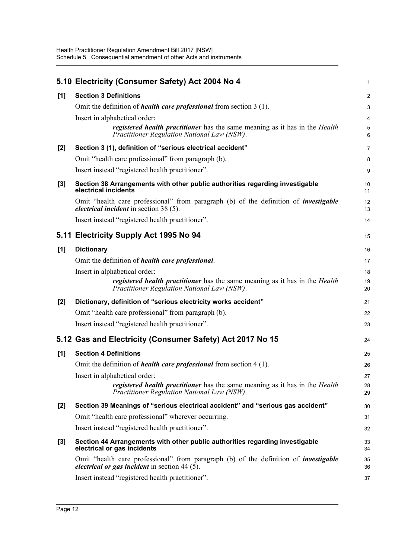|       | 5.10 Electricity (Consumer Safety) Act 2004 No 4                                                                                                       | 1              |
|-------|--------------------------------------------------------------------------------------------------------------------------------------------------------|----------------|
| [1]   | <b>Section 3 Definitions</b>                                                                                                                           | $\overline{a}$ |
|       | Omit the definition of <i>health care professional</i> from section 3 (1).                                                                             | 3              |
|       | Insert in alphabetical order:                                                                                                                          | 4              |
|       | <i>registered health practitioner</i> has the same meaning as it has in the <i>Health</i><br>Practitioner Regulation National Law (NSW).               | 5<br>6         |
| $[2]$ | Section 3 (1), definition of "serious electrical accident"                                                                                             | 7              |
|       | Omit "health care professional" from paragraph (b).                                                                                                    | 8              |
|       | Insert instead "registered health practitioner".                                                                                                       | 9              |
| $[3]$ | Section 38 Arrangements with other public authorities regarding investigable<br>electrical incidents                                                   | 10<br>11       |
|       | Omit "health care professional" from paragraph (b) of the definition of <i>investigable</i><br><i>electrical incident</i> in section 38 (5).           | 12<br>13       |
|       | Insert instead "registered health practitioner".                                                                                                       | 14             |
|       | 5.11 Electricity Supply Act 1995 No 94                                                                                                                 | 15             |
| [1]   | <b>Dictionary</b>                                                                                                                                      | 16             |
|       | Omit the definition of <i>health care professional</i> .                                                                                               | 17             |
|       | Insert in alphabetical order:                                                                                                                          | 18             |
|       | registered health practitioner has the same meaning as it has in the Health<br>Practitioner Regulation National Law (NSW).                             | 19<br>20       |
| $[2]$ | Dictionary, definition of "serious electricity works accident"                                                                                         | 21             |
|       | Omit "health care professional" from paragraph (b).                                                                                                    | 22             |
|       | Insert instead "registered health practitioner".                                                                                                       | 23             |
|       | 5.12 Gas and Electricity (Consumer Safety) Act 2017 No 15                                                                                              | 24             |
| [1]   | <b>Section 4 Definitions</b>                                                                                                                           | 25             |
|       | Omit the definition of <i>health care professional</i> from section 4 (1).                                                                             | 26             |
|       | Insert in alphabetical order:                                                                                                                          | 27             |
|       | <i>registered health practitioner</i> has the same meaning as it has in the <i>Health</i><br>Practitioner Regulation National Law (NSW).               | 28<br>29       |
| [2]   | Section 39 Meanings of "serious electrical accident" and "serious gas accident"                                                                        | 30             |
|       | Omit "health care professional" wherever occurring.                                                                                                    | 31             |
|       | Insert instead "registered health practitioner".                                                                                                       | 32             |
| $[3]$ | Section 44 Arrangements with other public authorities regarding investigable<br>electrical or gas incidents                                            | 33<br>34       |
|       | Omit "health care professional" from paragraph (b) of the definition of <i>investigable</i><br><i>electrical or gas incident</i> in section 44 $(5)$ . | 35<br>36       |
|       | Insert instead "registered health practitioner".                                                                                                       | 37             |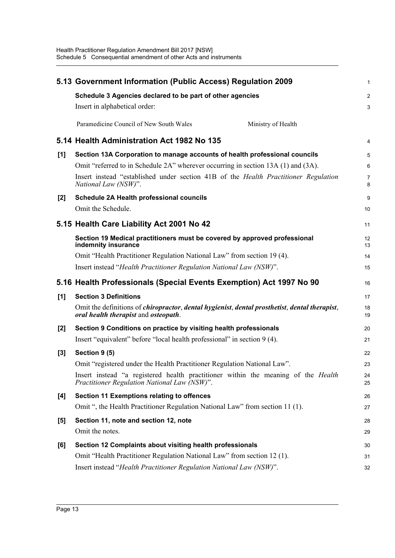|       | 5.13 Government Information (Public Access) Regulation 2009                                                                                                           | 1              |
|-------|-----------------------------------------------------------------------------------------------------------------------------------------------------------------------|----------------|
|       | Schedule 3 Agencies declared to be part of other agencies                                                                                                             | $\overline{2}$ |
|       | Insert in alphabetical order:                                                                                                                                         | 3              |
|       | Paramedicine Council of New South Wales<br>Ministry of Health                                                                                                         |                |
|       | 5.14 Health Administration Act 1982 No 135                                                                                                                            | 4              |
| [1]   | Section 13A Corporation to manage accounts of health professional councils                                                                                            | 5              |
|       | Omit "referred to in Schedule 2A" wherever occurring in section 13A (1) and (3A).                                                                                     | 6              |
|       | Insert instead "established under section 41B of the <i>Health Practitioner Regulation</i><br>National Law (NSW)".                                                    | 7<br>8         |
| [2]   | Schedule 2A Health professional councils                                                                                                                              | 9              |
|       | Omit the Schedule.                                                                                                                                                    | 10             |
|       | 5.15 Health Care Liability Act 2001 No 42                                                                                                                             | 11             |
|       | Section 19 Medical practitioners must be covered by approved professional<br>indemnity insurance                                                                      | 12<br>13       |
|       | Omit "Health Practitioner Regulation National Law" from section 19 (4).                                                                                               | 14             |
|       | Insert instead "Health Practitioner Regulation National Law (NSW)".                                                                                                   | 15             |
|       |                                                                                                                                                                       |                |
|       | 5.16 Health Professionals (Special Events Exemption) Act 1997 No 90                                                                                                   | 16             |
| [1]   | <b>Section 3 Definitions</b>                                                                                                                                          | 17             |
|       | Omit the definitions of <i>chiropractor</i> , <i>dental hygienist</i> , <i>dental prosthetist</i> , <i>dental therapist</i> ,<br>oral health therapist and osteopath. | 18<br>19       |
| $[2]$ | Section 9 Conditions on practice by visiting health professionals                                                                                                     | 20             |
|       | Insert "equivalent" before "local health professional" in section 9 (4).                                                                                              | 21             |
| $[3]$ | Section 9 (5)                                                                                                                                                         | 22             |
|       | Omit "registered under the Health Practitioner Regulation National Law".                                                                                              | 23             |
|       | Insert instead "a registered health practitioner within the meaning of the <i>Health</i><br>Practitioner Regulation National Law (NSW)".                              | 24<br>25       |
| [4]   | <b>Section 11 Exemptions relating to offences</b>                                                                                                                     | 26             |
|       | Omit ", the Health Practitioner Regulation National Law" from section 11 (1).                                                                                         | 27             |
| $[5]$ | Section 11, note and section 12, note                                                                                                                                 | 28             |
|       | Omit the notes.                                                                                                                                                       | 29             |
| [6]   | Section 12 Complaints about visiting health professionals                                                                                                             | 30             |
|       | Omit "Health Practitioner Regulation National Law" from section 12 (1).                                                                                               | 31             |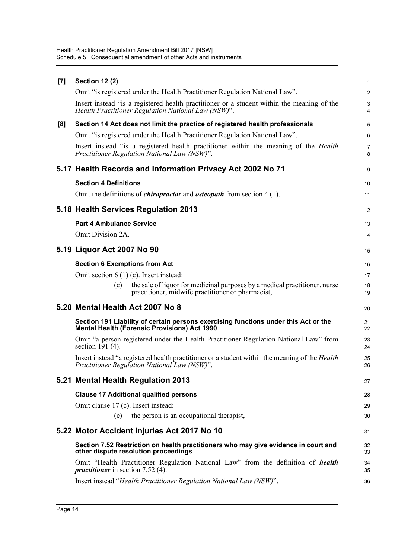| <b>Section 12 (2)</b>                                                                                                                             | 1              |
|---------------------------------------------------------------------------------------------------------------------------------------------------|----------------|
| Omit "is registered under the Health Practitioner Regulation National Law".                                                                       | $\overline{a}$ |
| Insert instead "is a registered health practitioner or a student within the meaning of the<br>Health Practitioner Regulation National Law (NSW)". | 3<br>4         |
| Section 14 Act does not limit the practice of registered health professionals                                                                     | 5              |
| Omit "is registered under the Health Practitioner Regulation National Law".                                                                       | 6              |
| Insert instead "is a registered health practitioner within the meaning of the <i>Health</i><br>Practitioner Regulation National Law (NSW)".       | 7<br>8         |
| 5.17 Health Records and Information Privacy Act 2002 No 71                                                                                        | 9              |
| <b>Section 4 Definitions</b>                                                                                                                      | 10             |
| Omit the definitions of <i>chiropractor</i> and <i>osteopath</i> from section 4 (1).                                                              | 11             |
| 5.18 Health Services Regulation 2013                                                                                                              | 12             |
| <b>Part 4 Ambulance Service</b>                                                                                                                   | 13             |
| Omit Division 2A.                                                                                                                                 | 14             |
| 5.19 Liquor Act 2007 No 90                                                                                                                        | 15             |
| <b>Section 6 Exemptions from Act</b>                                                                                                              | 16             |
| Omit section $6(1)(c)$ . Insert instead:                                                                                                          | 17             |
| the sale of liquor for medicinal purposes by a medical practitioner, nurse<br>(c)<br>practitioner, midwife practitioner or pharmacist,            | 18<br>19       |
| 5.20 Mental Health Act 2007 No 8                                                                                                                  |                |
|                                                                                                                                                   | 20             |
| Section 191 Liability of certain persons exercising functions under this Act or the<br><b>Mental Health (Forensic Provisions) Act 1990</b>        | 21<br>22       |
| Omit "a person registered under the Health Practitioner Regulation National Law" from<br>section $1\overline{9}1$ (4).                            | 23<br>24       |
| Insert instead "a registered health practitioner or a student within the meaning of the Health<br>Practitioner Regulation National Law (NSW)".    | 25<br>26       |
| 5.21 Mental Health Regulation 2013                                                                                                                | 27             |
| <b>Clause 17 Additional qualified persons</b>                                                                                                     | 28             |
| Omit clause 17 (c). Insert instead:                                                                                                               | 29             |
| the person is an occupational therapist,<br>(c)                                                                                                   | 30             |
| 5.22 Motor Accident Injuries Act 2017 No 10                                                                                                       | 31             |
| Section 7.52 Restriction on health practitioners who may give evidence in court and<br>other dispute resolution proceedings                       | 32<br>33       |
| Omit "Health Practitioner Regulation National Law" from the definition of <i>health</i><br><i>practitioner</i> in section 7.52 (4).               | 34<br>35       |
|                                                                                                                                                   |                |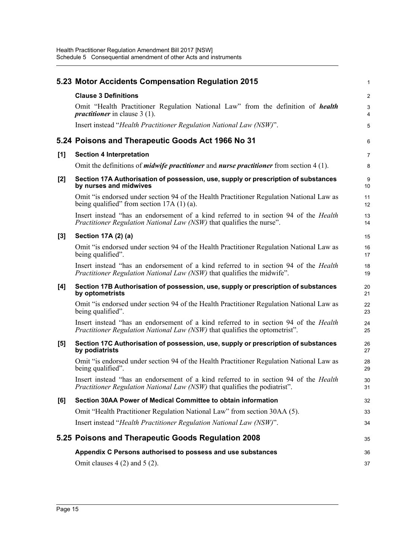|       | 5.23 Motor Accidents Compensation Regulation 2015                                                                                                                                | $\mathbf{1}$     |
|-------|----------------------------------------------------------------------------------------------------------------------------------------------------------------------------------|------------------|
|       | <b>Clause 3 Definitions</b>                                                                                                                                                      | $\overline{2}$   |
|       | Omit "Health Practitioner Regulation National Law" from the definition of <i>health</i><br><i>practitioner</i> in clause $3(1)$ .                                                | $\mathsf 3$<br>4 |
|       | Insert instead "Health Practitioner Regulation National Law (NSW)".                                                                                                              | $\overline{5}$   |
|       | 5.24 Poisons and Therapeutic Goods Act 1966 No 31                                                                                                                                | 6                |
| [1]   | <b>Section 4 Interpretation</b>                                                                                                                                                  | $\overline{7}$   |
|       | Omit the definitions of <i>midwife practitioner</i> and <i>nurse practitioner</i> from section $4(1)$ .                                                                          | 8                |
| [2]   | Section 17A Authorisation of possession, use, supply or prescription of substances<br>by nurses and midwives                                                                     | 9<br>10          |
|       | Omit "is endorsed under section 94 of the Health Practitioner Regulation National Law as<br>being qualified" from section $17A(1)(a)$ .                                          | 11<br>12         |
|       | Insert instead "has an endorsement of a kind referred to in section 94 of the Health<br>Practitioner Regulation National Law (NSW) that qualifies the nurse".                    | 13<br>14         |
| $[3]$ | Section 17A (2) (a)                                                                                                                                                              | 15               |
|       | Omit "is endorsed under section 94 of the Health Practitioner Regulation National Law as<br>being qualified".                                                                    | 16<br>17         |
|       | Insert instead "has an endorsement of a kind referred to in section 94 of the <i>Health</i><br><i>Practitioner Regulation National Law (NSW)</i> that qualifies the midwife".    | 18<br>19         |
| [4]   | Section 17B Authorisation of possession, use, supply or prescription of substances<br>by optometrists                                                                            | 20<br>21         |
|       | Omit "is endorsed under section 94 of the Health Practitioner Regulation National Law as<br>being qualified".                                                                    | 22<br>23         |
|       | Insert instead "has an endorsement of a kind referred to in section 94 of the <i>Health</i><br>Practitioner Regulation National Law (NSW) that qualifies the optometrist".       | 24<br>25         |
| [5]   | Section 17C Authorisation of possession, use, supply or prescription of substances<br>by podiatrists                                                                             | 26<br>27         |
|       | Omit "is endorsed under section 94 of the Health Practitioner Regulation National Law as<br>being qualified".                                                                    | 28<br>29         |
|       | Insert instead "has an endorsement of a kind referred to in section 94 of the <i>Health</i><br><i>Practitioner Regulation National Law (NSW)</i> that qualifies the podiatrist". | 30<br>31         |
| [6]   | Section 30AA Power of Medical Committee to obtain information                                                                                                                    | 32               |
|       | Omit "Health Practitioner Regulation National Law" from section 30AA (5).                                                                                                        | 33               |
|       | Insert instead "Health Practitioner Regulation National Law (NSW)".                                                                                                              | 34               |
|       | 5.25 Poisons and Therapeutic Goods Regulation 2008                                                                                                                               | 35               |
|       | Appendix C Persons authorised to possess and use substances                                                                                                                      | 36               |
|       | Omit clauses $4(2)$ and $5(2)$ .                                                                                                                                                 | 37               |
|       |                                                                                                                                                                                  |                  |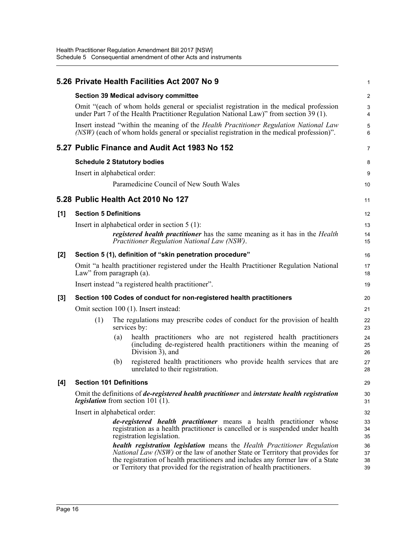|       |                                                                                                                                                                                     |     | 5.26 Private Health Facilities Act 2007 No 9                                                                                                                                                                                                                                                                                           | $\mathbf{1}$         |  |
|-------|-------------------------------------------------------------------------------------------------------------------------------------------------------------------------------------|-----|----------------------------------------------------------------------------------------------------------------------------------------------------------------------------------------------------------------------------------------------------------------------------------------------------------------------------------------|----------------------|--|
|       | <b>Section 39 Medical advisory committee</b>                                                                                                                                        |     |                                                                                                                                                                                                                                                                                                                                        |                      |  |
|       |                                                                                                                                                                                     |     | Omit "(each of whom holds general or specialist registration in the medical profession<br>under Part 7 of the Health Practitioner Regulation National Law)" from section 39 (1).                                                                                                                                                       | $\mathbf{3}$<br>4    |  |
|       |                                                                                                                                                                                     |     | Insert instead "within the meaning of the <i>Health Practitioner Regulation National Law</i><br>(NSW) (each of whom holds general or specialist registration in the medical profession)".                                                                                                                                              | 5<br>6               |  |
|       |                                                                                                                                                                                     |     | 5.27 Public Finance and Audit Act 1983 No 152                                                                                                                                                                                                                                                                                          | 7                    |  |
|       |                                                                                                                                                                                     |     | <b>Schedule 2 Statutory bodies</b>                                                                                                                                                                                                                                                                                                     | 8                    |  |
|       | Insert in alphabetical order:                                                                                                                                                       |     |                                                                                                                                                                                                                                                                                                                                        | 9                    |  |
|       |                                                                                                                                                                                     |     | Paramedicine Council of New South Wales                                                                                                                                                                                                                                                                                                | 10                   |  |
|       |                                                                                                                                                                                     |     | 5.28 Public Health Act 2010 No 127                                                                                                                                                                                                                                                                                                     | 11                   |  |
| [1]   | <b>Section 5 Definitions</b>                                                                                                                                                        |     |                                                                                                                                                                                                                                                                                                                                        | 12                   |  |
|       |                                                                                                                                                                                     |     | Insert in alphabetical order in section $5(1)$ :                                                                                                                                                                                                                                                                                       | 13                   |  |
|       |                                                                                                                                                                                     |     | <i>registered health practitioner</i> has the same meaning as it has in the <i>Health</i><br>Practitioner Regulation National Law (NSW).                                                                                                                                                                                               | 14<br>15             |  |
| [2]   |                                                                                                                                                                                     |     | Section 5 (1), definition of "skin penetration procedure"                                                                                                                                                                                                                                                                              | 16                   |  |
|       | Omit "a health practitioner registered under the Health Practitioner Regulation National<br>Law" from paragraph (a).                                                                |     |                                                                                                                                                                                                                                                                                                                                        |                      |  |
|       |                                                                                                                                                                                     |     | Insert instead "a registered health practitioner".                                                                                                                                                                                                                                                                                     | 19                   |  |
| $[3]$ | Section 100 Codes of conduct for non-registered health practitioners                                                                                                                |     |                                                                                                                                                                                                                                                                                                                                        |                      |  |
|       | Omit section 100 (1). Insert instead:                                                                                                                                               |     |                                                                                                                                                                                                                                                                                                                                        |                      |  |
|       | (1)                                                                                                                                                                                 |     | The regulations may prescribe codes of conduct for the provision of health<br>services by:                                                                                                                                                                                                                                             | 22<br>23             |  |
|       |                                                                                                                                                                                     | (a) | health practitioners who are not registered health practitioners<br>(including de-registered health practitioners within the meaning of<br>Division 3), and                                                                                                                                                                            | 24<br>25<br>26       |  |
|       |                                                                                                                                                                                     | (b) | registered health practitioners who provide health services that are<br>unrelated to their registration.                                                                                                                                                                                                                               | 27<br>28             |  |
| [4]   | <b>Section 101 Definitions</b>                                                                                                                                                      |     |                                                                                                                                                                                                                                                                                                                                        | 29                   |  |
|       | Omit the definitions of <i>de-registered health practitioner</i> and <i>interstate health registration</i><br><i>legislation</i> from section 101 (1).                              |     |                                                                                                                                                                                                                                                                                                                                        |                      |  |
|       | Insert in alphabetical order:                                                                                                                                                       |     |                                                                                                                                                                                                                                                                                                                                        |                      |  |
|       | de-registered health practitioner means a health practitioner whose<br>registration as a health practitioner is cancelled or is suspended under health<br>registration legislation. |     |                                                                                                                                                                                                                                                                                                                                        |                      |  |
|       |                                                                                                                                                                                     |     | <b>health registration legislation</b> means the Health Practitioner Regulation<br><i>National Law (NSW)</i> or the law of another State or Territory that provides for<br>the registration of health practitioners and includes any former law of a State<br>or Territory that provided for the registration of health practitioners. | 36<br>37<br>38<br>39 |  |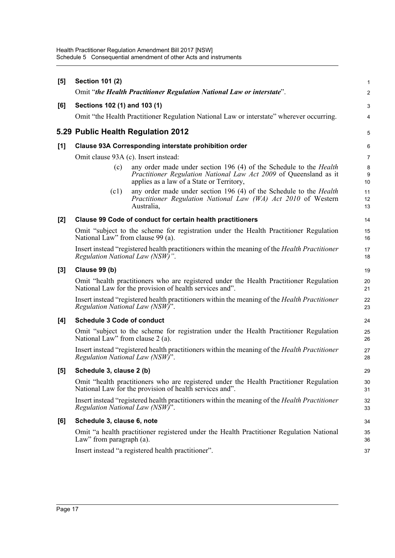| [5]   | <b>Section 101 (2)</b>                                                                                                                            |                                                                                                                                                                                             | $\mathbf{1}$            |  |
|-------|---------------------------------------------------------------------------------------------------------------------------------------------------|---------------------------------------------------------------------------------------------------------------------------------------------------------------------------------------------|-------------------------|--|
|       | Omit "the Health Practitioner Regulation National Law or interstate".                                                                             |                                                                                                                                                                                             |                         |  |
| [6]   | Sections 102 (1) and 103 (1)                                                                                                                      |                                                                                                                                                                                             | 3                       |  |
|       |                                                                                                                                                   | Omit "the Health Practitioner Regulation National Law or interstate" wherever occurring.                                                                                                    | $\overline{\mathbf{4}}$ |  |
|       |                                                                                                                                                   | 5.29 Public Health Regulation 2012                                                                                                                                                          | $\overline{5}$          |  |
| $[1]$ | Clause 93A Corresponding interstate prohibition order                                                                                             |                                                                                                                                                                                             |                         |  |
|       | Omit clause 93A (c). Insert instead:                                                                                                              |                                                                                                                                                                                             | $\overline{7}$          |  |
|       | (c)                                                                                                                                               | any order made under section 196 (4) of the Schedule to the <i>Health</i><br>Practitioner Regulation National Law Act 2009 of Queensland as it<br>applies as a law of a State or Territory, | 8<br>9<br>10            |  |
|       | (c1)                                                                                                                                              | any order made under section 196 (4) of the Schedule to the Health<br>Practitioner Regulation National Law (WA) Act 2010 of Western<br>Australia,                                           | 11<br>12<br>13          |  |
| $[2]$ |                                                                                                                                                   | Clause 99 Code of conduct for certain health practitioners                                                                                                                                  | 14                      |  |
|       | Omit "subject to the scheme for registration under the Health Practitioner Regulation<br>National Law" from clause 99 (a).                        |                                                                                                                                                                                             |                         |  |
|       | Insert instead "registered health practitioners within the meaning of the <i>Health Practitioner</i><br>Regulation National Law (NSW)".           |                                                                                                                                                                                             |                         |  |
| $[3]$ | Clause 99 (b)                                                                                                                                     |                                                                                                                                                                                             | 19                      |  |
|       | Omit "health practitioners who are registered under the Health Practitioner Regulation<br>National Law for the provision of health services and". |                                                                                                                                                                                             |                         |  |
|       | Insert instead "registered health practitioners within the meaning of the <i>Health Practitioner</i><br>Regulation National Law (NSW)".           |                                                                                                                                                                                             |                         |  |
| [4]   | <b>Schedule 3 Code of conduct</b>                                                                                                                 |                                                                                                                                                                                             | 24                      |  |
|       | National Law" from clause 2 (a).                                                                                                                  | Omit "subject to the scheme for registration under the Health Practitioner Regulation                                                                                                       | 25<br>26                |  |
|       | Insert instead "registered health practitioners within the meaning of the <i>Health Practitioner</i><br>Regulation National Law (NSW)".           |                                                                                                                                                                                             |                         |  |
| [5]   | Schedule 3, clause 2 (b)                                                                                                                          |                                                                                                                                                                                             | 29                      |  |
|       | Omit "health practitioners who are registered under the Health Practitioner Regulation<br>National Law for the provision of health services and". |                                                                                                                                                                                             |                         |  |
|       | Insert instead "registered health practitioners within the meaning of the <i>Health Practitioner</i><br>Regulation National Law (NSW)".           |                                                                                                                                                                                             |                         |  |
| [6]   | Schedule 3, clause 6, note                                                                                                                        |                                                                                                                                                                                             |                         |  |
|       | Law" from paragraph (a).                                                                                                                          | Omit "a health practitioner registered under the Health Practitioner Regulation National                                                                                                    | 35<br>36                |  |
|       |                                                                                                                                                   | Insert instead "a registered health practitioner".                                                                                                                                          | 37                      |  |
|       |                                                                                                                                                   |                                                                                                                                                                                             |                         |  |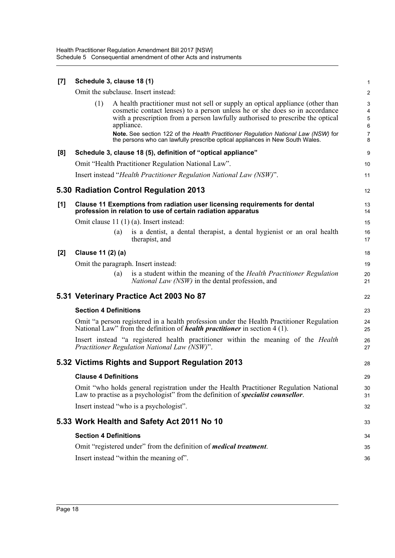| [7]   | Schedule 3, clause 18 (1)                                                                                                                                                      |            |                                                                                                                                                                                                                                                                                                                                                                                                                        | 1                                                 |  |
|-------|--------------------------------------------------------------------------------------------------------------------------------------------------------------------------------|------------|------------------------------------------------------------------------------------------------------------------------------------------------------------------------------------------------------------------------------------------------------------------------------------------------------------------------------------------------------------------------------------------------------------------------|---------------------------------------------------|--|
|       | Omit the subclause. Insert instead:                                                                                                                                            |            |                                                                                                                                                                                                                                                                                                                                                                                                                        |                                                   |  |
|       | (1)                                                                                                                                                                            | appliance. | A health practitioner must not sell or supply an optical appliance (other than<br>cosmetic contact lenses) to a person unless he or she does so in accordance<br>with a prescription from a person lawfully authorised to prescribe the optical<br>Note. See section 122 of the Health Practitioner Regulation National Law (NSW) for<br>the persons who can lawfully prescribe optical appliances in New South Wales. | 3<br>4<br>5<br>$\boldsymbol{6}$<br>$\overline{7}$ |  |
|       |                                                                                                                                                                                |            |                                                                                                                                                                                                                                                                                                                                                                                                                        | 8                                                 |  |
| [8]   |                                                                                                                                                                                |            | Schedule 3, clause 18 (5), definition of "optical appliance"<br>Omit "Health Practitioner Regulation National Law".                                                                                                                                                                                                                                                                                                    | 9<br>10                                           |  |
|       |                                                                                                                                                                                |            | Insert instead "Health Practitioner Regulation National Law (NSW)".                                                                                                                                                                                                                                                                                                                                                    | 11                                                |  |
|       |                                                                                                                                                                                |            | 5.30 Radiation Control Regulation 2013                                                                                                                                                                                                                                                                                                                                                                                 | 12                                                |  |
| [1]   | Clause 11 Exemptions from radiation user licensing requirements for dental<br>profession in relation to use of certain radiation apparatus                                     |            |                                                                                                                                                                                                                                                                                                                                                                                                                        |                                                   |  |
|       |                                                                                                                                                                                |            | Omit clause $11(1)(a)$ . Insert instead:                                                                                                                                                                                                                                                                                                                                                                               | 15                                                |  |
|       |                                                                                                                                                                                | (a)        | is a dentist, a dental therapist, a dental hygienist or an oral health<br>therapist, and                                                                                                                                                                                                                                                                                                                               | 16<br>17                                          |  |
| $[2]$ | Clause 11 (2) (a)                                                                                                                                                              |            |                                                                                                                                                                                                                                                                                                                                                                                                                        | 18                                                |  |
|       |                                                                                                                                                                                |            | Omit the paragraph. Insert instead:                                                                                                                                                                                                                                                                                                                                                                                    | 19                                                |  |
|       |                                                                                                                                                                                | (a)        | is a student within the meaning of the Health Practitioner Regulation<br><i>National Law (NSW)</i> in the dental profession, and                                                                                                                                                                                                                                                                                       | 20<br>21                                          |  |
|       |                                                                                                                                                                                |            | 5.31 Veterinary Practice Act 2003 No 87                                                                                                                                                                                                                                                                                                                                                                                | 22                                                |  |
|       | <b>Section 4 Definitions</b>                                                                                                                                                   |            |                                                                                                                                                                                                                                                                                                                                                                                                                        |                                                   |  |
|       | Omit "a person registered in a health profession under the Health Practitioner Regulation<br>National Law" from the definition of <i>health practitioner</i> in section 4 (1). |            |                                                                                                                                                                                                                                                                                                                                                                                                                        |                                                   |  |
|       |                                                                                                                                                                                |            | Insert instead "a registered health practitioner within the meaning of the <i>Health</i><br>Practitioner Regulation National Law (NSW)".                                                                                                                                                                                                                                                                               | 26<br>27                                          |  |
|       |                                                                                                                                                                                |            | 5.32 Victims Rights and Support Regulation 2013                                                                                                                                                                                                                                                                                                                                                                        | 28                                                |  |
|       | <b>Clause 4 Definitions</b>                                                                                                                                                    |            |                                                                                                                                                                                                                                                                                                                                                                                                                        |                                                   |  |
|       |                                                                                                                                                                                |            | Omit "who holds general registration under the Health Practitioner Regulation National<br>Law to practise as a psychologist" from the definition of <i>specialist counsellor</i> .                                                                                                                                                                                                                                     | 30<br>31                                          |  |
|       |                                                                                                                                                                                |            | Insert instead "who is a psychologist".                                                                                                                                                                                                                                                                                                                                                                                | 32                                                |  |
|       |                                                                                                                                                                                |            | 5.33 Work Health and Safety Act 2011 No 10                                                                                                                                                                                                                                                                                                                                                                             | 33                                                |  |
|       | <b>Section 4 Definitions</b>                                                                                                                                                   |            |                                                                                                                                                                                                                                                                                                                                                                                                                        |                                                   |  |
|       |                                                                                                                                                                                |            | Omit "registered under" from the definition of <i>medical treatment</i> .                                                                                                                                                                                                                                                                                                                                              | 35                                                |  |
|       |                                                                                                                                                                                |            | Insert instead "within the meaning of".                                                                                                                                                                                                                                                                                                                                                                                | 36                                                |  |